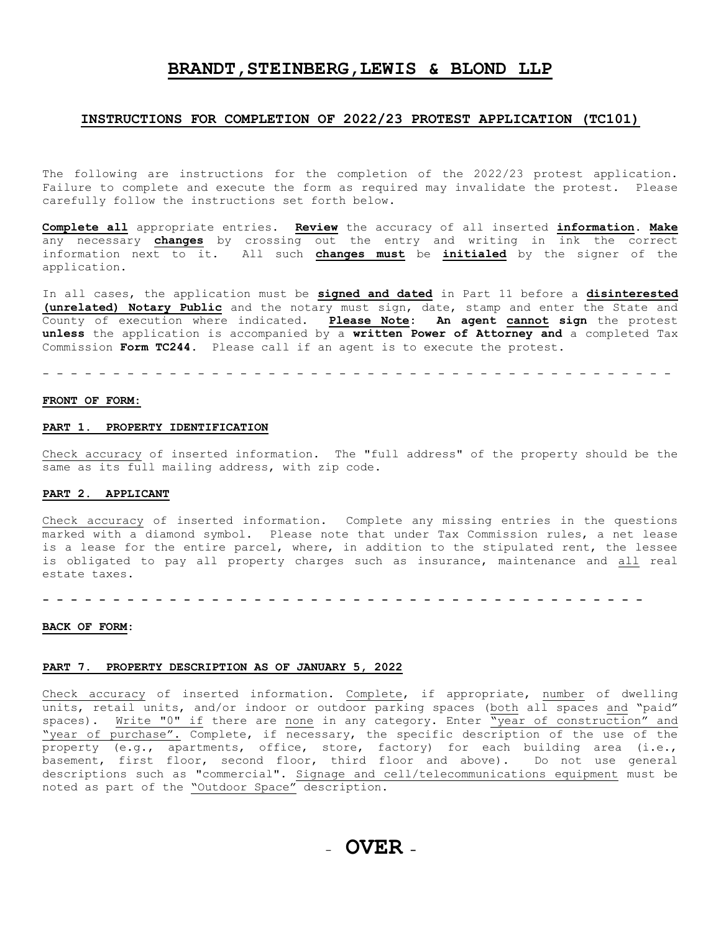# **BRANDT,STEINBERG,LEWIS & BLOND LLP**

# **INSTRUCTIONS FOR COMPLETION OF 2022/23 PROTEST APPLICATION (TC101)**

The following are instructions for the completion of the 2022/23 protest application. Failure to complete and execute the form as required may invalidate the protest. Please carefully follow the instructions set forth below.

**Complete all** appropriate entries. **Review** the accuracy of all inserted **information. Make** any necessary **changes** by crossing out the entry and writing in ink the correct information next to it. All such **changes must** be **initialed** by the signer of the application.

In all cases, the application must be **signed and dated** in Part 11 before a **disinterested (unrelated) Notary Public** and the notary must sign, date, stamp and enter the State and County of execution where indicated. **Please Note: An agent cannot sign** the protest **unless** the application is accompanied by a **written Power of Attorney and** a completed Tax Commission **Form TC244.** Please call if an agent is to execute the protest.

- - - - - - - - - - - - - - - - - - - - - - - - - - - - - - - - - - - - - - - - - - - - -

## **FRONT OF FORM:**

# **PART 1. PROPERTY IDENTIFICATION**

Check accuracy of inserted information. The "full address" of the property should be the same as its full mailing address, with zip code.

# **PART 2. APPLICANT**

Check accuracy of inserted information. Complete any missing entries in the questions marked with a diamond symbol. Please note that under Tax Commission rules, a net lease is a lease for the entire parcel, where, in addition to the stipulated rent, the lessee is obligated to pay all property charges such as insurance, maintenance and all real estate taxes.

**- - - - - - - - - - - - - - - - - - - - - - - - - - - - - - - - - - - - - - - - - - -**

### **BACK OF FORM:**

## **PART 7. PROPERTY DESCRIPTION AS OF JANUARY 5, 2022**

Check accuracy of inserted information. Complete, if appropriate, number of dwelling units, retail units, and/or indoor or outdoor parking spaces (both all spaces and "paid" spaces). Write "0" if there are none in any category. Enter "year of construction" and "year of purchase". Complete, if necessary, the specific description of the use of the property (e.g., apartments, office, store, factory) for each building area (i.e., basement, first floor, second floor, third floor and above). Do not use general descriptions such as "commercial". Signage and cell/telecommunications equipment must be noted as part of the "Outdoor Space" description.